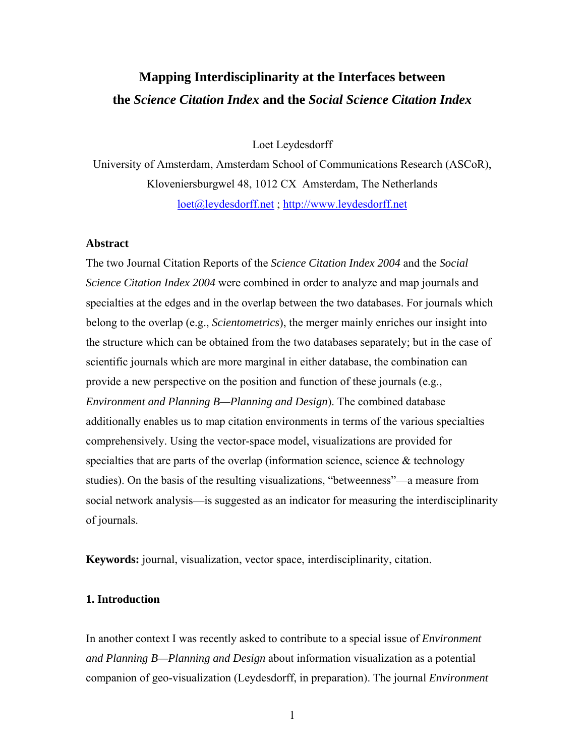# **Mapping Interdisciplinarity at the Interfaces between the** *Science Citation Index* **and the** *Social Science Citation Index*

Loet Leydesdorff

University of Amsterdam, Amsterdam School of Communications Research (ASCoR), Kloveniersburgwel 48, 1012 CX Amsterdam, The Netherlands [loet@leydesdorff.net](mailto:loet@leydesdorff.net) ; [http://www.leydesdorff.net](http://www.leydesdorff.net/)

## **Abstract**

The two Journal Citation Reports of the *Science Citation Index 2004* and the *Social Science Citation Index 2004* were combined in order to analyze and map journals and specialties at the edges and in the overlap between the two databases. For journals which belong to the overlap (e.g., *Scientometrics*), the merger mainly enriches our insight into the structure which can be obtained from the two databases separately; but in the case of scientific journals which are more marginal in either database, the combination can provide a new perspective on the position and function of these journals (e.g., *Environment and Planning B—Planning and Design*). The combined database additionally enables us to map citation environments in terms of the various specialties comprehensively. Using the vector-space model, visualizations are provided for specialties that are parts of the overlap (information science, science  $\&$  technology studies). On the basis of the resulting visualizations, "betweenness"—a measure from social network analysis—is suggested as an indicator for measuring the interdisciplinarity of journals.

**Keywords:** journal, visualization, vector space, interdisciplinarity, citation.

## **1. Introduction**

In another context I was recently asked to contribute to a special issue of *Environment and Planning B—Planning and Design* about information visualization as a potential companion of geo-visualization (Leydesdorff, in preparation). The journal *Environment*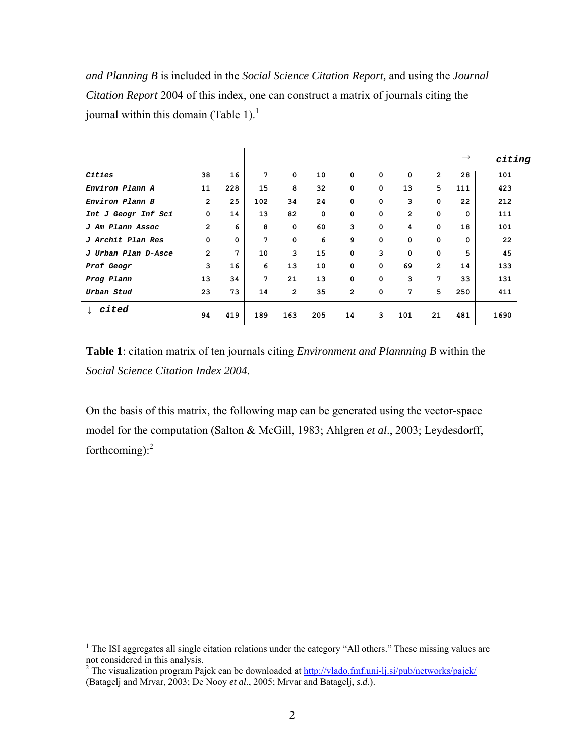*and Planning B* is included in the *Social Science Citation Report,* and using the *Journal Citation Report* 2004 of this index, one can construct a matrix of journals citing the journal within this domain (Table [1](#page-1-0)).<sup>1</sup>

|                     |                |             |     |                |     |                |             |                |                | $\rightarrow$ | citing |
|---------------------|----------------|-------------|-----|----------------|-----|----------------|-------------|----------------|----------------|---------------|--------|
| Cities              | 38             | 16          | 7   | 0              | 10  | 0              | 0           | $\Omega$       | $\overline{2}$ | 28            | 101    |
| Environ Plann A     | 11             | 228         | 15  | 8              | 32  | $\mathbf 0$    | $\mathbf 0$ | 13             | 5              | 111           | 423    |
| Environ Plann B     | $\overline{2}$ | 25          | 102 | 34             | 24  | $\mathbf 0$    | $\mathbf 0$ | 3              | 0              | 22            | 212    |
| Int J Geogr Inf Sci | 0              | 14          | 13  | 82             | 0   | $\mathbf 0$    | 0           | $\overline{2}$ | $\mathbf 0$    | 0             | 111    |
| J Am Plann Assoc    | $\overline{2}$ | 6           | 8   | $\mathbf 0$    | 60  | 3              | $\mathbf 0$ | 4              | $\mathbf 0$    | 18            | 101    |
| J Archit Plan Res   | $\mathbf 0$    | $\mathbf 0$ | 7   | $\mathbf 0$    | 6   | 9              | $\mathbf 0$ | 0              | $\mathbf 0$    | 0             | 22     |
| J Urban Plan D-Asce | $\overline{2}$ | 7           | 10  | 3              | 15  | $\mathbf 0$    | 3           | $\mathbf 0$    | $\mathbf 0$    | 5             | 45     |
| Prof Geogr          | 3              | 16          | 6   | 13             | 10  | $\mathbf 0$    | $\mathbf 0$ | 69             | $\overline{2}$ | 14            | 133    |
| Prog Plann          | 13             | 34          | 7   | 21             | 13  | $\mathbf 0$    | $\mathbf 0$ | 3              | 7              | 33            | 131    |
| Urban Stud          | 23             | 73          | 14  | $\overline{2}$ | 35  | $\overline{2}$ | $\mathbf 0$ | 7              | 5              | 250           | 411    |
| $\downarrow$ cited  | 94             | 419         | 189 | 163            | 205 | 14             | 3           | 101            | 21             | 481           | 1690   |

**Table 1**: citation matrix of ten journals citing *Environment and Plannning B* within the *Social Science Citation Index 2004.* 

On the basis of this matrix, the following map can be generated using the vector-space model for the computation (Salton & McGill, 1983; Ahlgren *et al*., 2003; Leydesdorff, forthcoming): $2$ 

<span id="page-1-0"></span><sup>&</sup>lt;sup>1</sup> The ISI aggregates all single citation relations under the category "All others." These missing values are not considered in this analysis.<br><sup>2</sup> The visualization program Pajek can be downloaded at <u>http://vlado.fmf.uni-lj.si/pub/networks/pajek/</u>

<span id="page-1-1"></span><sup>(</sup>Batagelj and Mrvar, 2003; De Nooy *et al*., 2005; Mrvar and Batagelj, *s.d.*).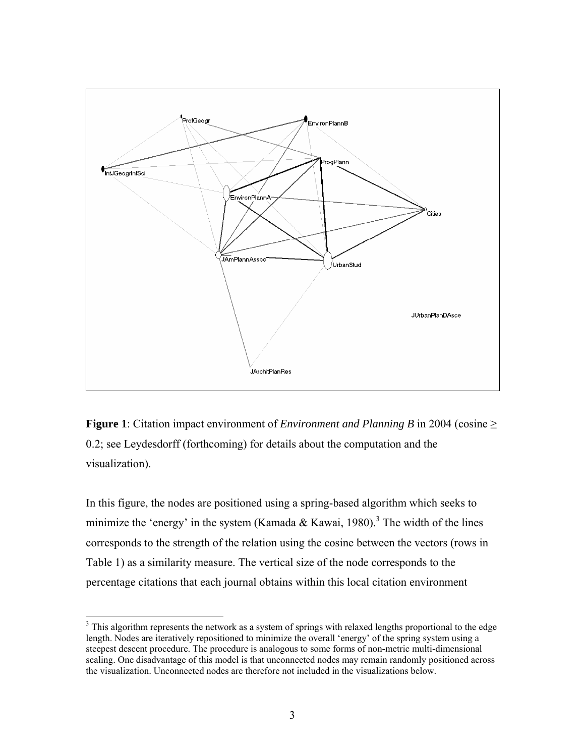

**Figure 1**: Citation impact environment of *Environment and Planning B* in 2004 (cosine ≥ 0.2; see Leydesdorff (forthcoming) for details about the computation and the visualization).

In this figure, the nodes are positioned using a spring-based algorithm which seeks to minimize the 'energy' in the system (Kamada & Kawai, 1980).<sup>[3](#page-2-0)</sup> The width of the lines corresponds to the strength of the relation using the cosine between the vectors (rows in Table 1) as a similarity measure. The vertical size of the node corresponds to the percentage citations that each journal obtains within this local citation environment

<span id="page-2-0"></span><sup>&</sup>lt;sup>3</sup> This algorithm represents the network as a system of springs with relaxed lengths proportional to the edge length. Nodes are iteratively repositioned to minimize the overall 'energy' of the spring system using a steepest descent procedure. The procedure is analogous to some forms of non-metric multi-dimensional scaling. One disadvantage of this model is that unconnected nodes may remain randomly positioned across the visualization. Unconnected nodes are therefore not included in the visualizations below.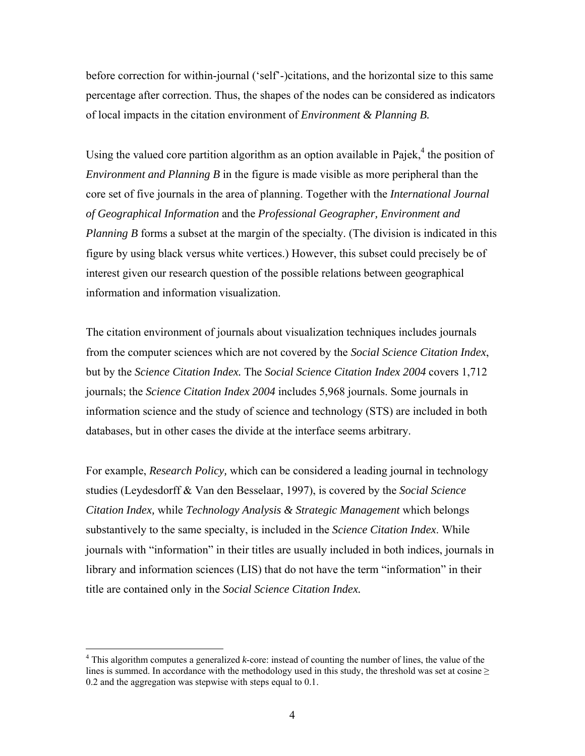before correction for within-journal ('self'-)citations, and the horizontal size to this same percentage after correction. Thus, the shapes of the nodes can be considered as indicators of local impacts in the citation environment of *Environment & Planning B.*

Using the valued core partition algorithm as an option available in Pajek, $4$  the position of *Environment and Planning B* in the figure is made visible as more peripheral than the core set of five journals in the area of planning. Together with the *International Journal of Geographical Information* and the *Professional Geographer, Environment and Planning B* forms a subset at the margin of the specialty. (The division is indicated in this figure by using black versus white vertices.) However, this subset could precisely be of interest given our research question of the possible relations between geographical information and information visualization.

The citation environment of journals about visualization techniques includes journals from the computer sciences which are not covered by the *Social Science Citation Index*, but by the *Science Citation Index.* The *Social Science Citation Index 2004* covers 1,712 journals; the *Science Citation Index 2004* includes 5,968 journals. Some journals in information science and the study of science and technology (STS) are included in both databases, but in other cases the divide at the interface seems arbitrary.

For example, *Research Policy,* which can be considered a leading journal in technology studies (Leydesdorff & Van den Besselaar, 1997), is covered by the *Social Science Citation Index,* while *Technology Analysis & Strategic Management* which belongs substantively to the same specialty, is included in the *Science Citation Index*. While journals with "information" in their titles are usually included in both indices, journals in library and information sciences (LIS) that do not have the term "information" in their title are contained only in the *Social Science Citation Index.*

 $\overline{a}$ 

<span id="page-3-0"></span><sup>&</sup>lt;sup>4</sup> This algorithm computes a generalized *k*-core: instead of counting the number of lines, the value of the lines is summed. In accordance with the methodology used in this study, the threshold was set at cosine  $\geq$ 0.2 and the aggregation was stepwise with steps equal to 0.1.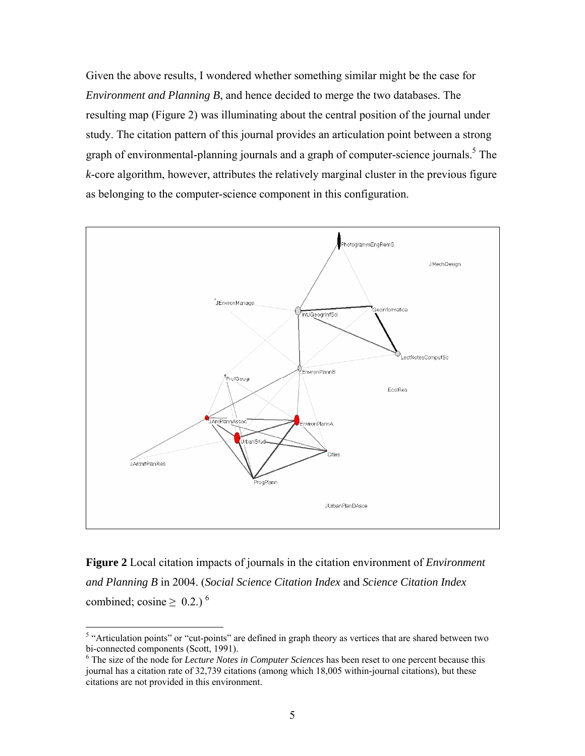Given the above results, I wondered whether something similar might be the case for *Environment and Planning B*, and hence decided to merge the two databases. The resulting map (Figure 2) was illuminating about the central position of the journal under study. The citation pattern of this journal provides an articulation point between a strong graph of environmental-planning journals and a graph of computer-science journals.<sup>[5](#page-4-0)</sup> The *k*-core algorithm, however, attributes the relatively marginal cluster in the previous figure as belonging to the computer-science component in this configuration.



**Figure 2** Local citation impacts of journals in the citation environment of *Environment and Planning B* in 2004. (*Social Science Citation Index* and *Science Citation Index* combined; cosine  $\geq 0.2$ .)<sup>[6](#page-4-1)</sup>

<span id="page-4-0"></span><sup>&</sup>lt;sup>5</sup> "Articulation points" or "cut-points" are defined in graph theory as vertices that are shared between two bi-connected components (Scott, 1991).

<span id="page-4-1"></span>The size of the node for *Lecture Notes in Computer Sciences* has been reset to one percent because this journal has a citation rate of 32,739 citations (among which 18,005 within-journal citations), but these citations are not provided in this environment.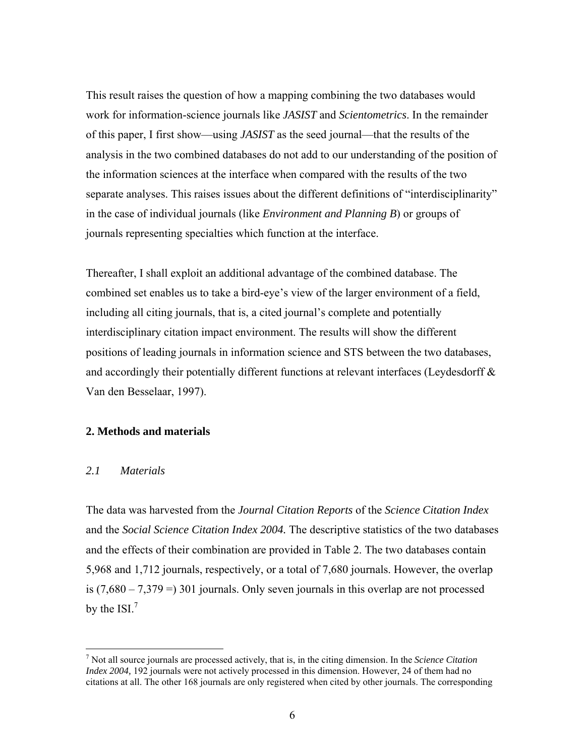This result raises the question of how a mapping combining the two databases would work for information-science journals like *JASIST* and *Scientometrics*. In the remainder of this paper, I first show—using *JASIST* as the seed journal—that the results of the analysis in the two combined databases do not add to our understanding of the position of the information sciences at the interface when compared with the results of the two separate analyses. This raises issues about the different definitions of "interdisciplinarity" in the case of individual journals (like *Environment and Planning B*) or groups of journals representing specialties which function at the interface.

Thereafter, I shall exploit an additional advantage of the combined database. The combined set enables us to take a bird-eye's view of the larger environment of a field, including all citing journals, that is, a cited journal's complete and potentially interdisciplinary citation impact environment. The results will show the different positions of leading journals in information science and STS between the two databases, and accordingly their potentially different functions at relevant interfaces (Leydesdorff & Van den Besselaar, 1997).

## **2. Methods and materials**

## *2.1 Materials*

 $\overline{a}$ 

The data was harvested from the *Journal Citation Reports* of the *Science Citation Index* and the *Social Science Citation Index 2004.* The descriptive statistics of the two databases and the effects of their combination are provided in Table 2. The two databases contain 5,968 and 1,712 journals, respectively, or a total of 7,680 journals. However, the overlap is  $(7,680 - 7,379) = 301$  journals. Only seven journals in this overlap are not processed by the ISI. $<sup>7</sup>$  $<sup>7</sup>$  $<sup>7</sup>$ </sup>

<span id="page-5-0"></span><sup>7</sup> Not all source journals are processed actively, that is, in the citing dimension. In the *Science Citation Index 2004,* 192 journals were not actively processed in this dimension. However, 24 of them had no citations at all. The other 168 journals are only registered when cited by other journals. The corresponding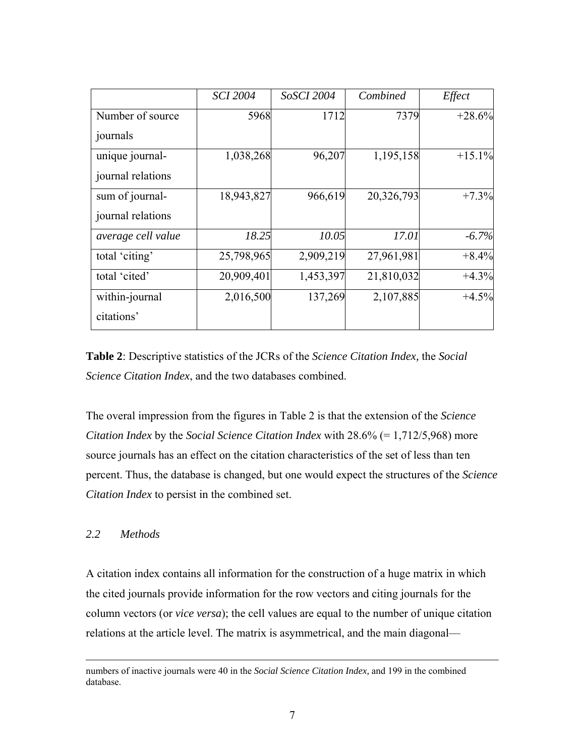|                    | <b>SCI 2004</b> | <b>SoSCI 2004</b> | Combined   | Effect   |
|--------------------|-----------------|-------------------|------------|----------|
| Number of source   | 5968            | 1712              | 7379       | $+28.6%$ |
| journals           |                 |                   |            |          |
| unique journal-    | 1,038,268       | 96,207            | 1,195,158  | $+15.1%$ |
| journal relations  |                 |                   |            |          |
| sum of journal-    | 18,943,827      | 966,619           | 20,326,793 | $+7.3%$  |
| journal relations  |                 |                   |            |          |
| average cell value | 18.25           | 10.05             | 17.01      | $-6.7%$  |
| total 'citing'     | 25,798,965      | 2,909,219         | 27,961,981 | $+8.4%$  |
| total 'cited'      | 20,909,401      | 1,453,397         | 21,810,032 | $+4.3%$  |
| within-journal     | 2,016,500       | 137,269           | 2,107,885  | $+4.5%$  |
| citations'         |                 |                   |            |          |

**Table 2**: Descriptive statistics of the JCRs of the *Science Citation Index,* the *Social Science Citation Index*, and the two databases combined.

The overal impression from the figures in Table 2 is that the extension of the *Science Citation Index* by the *Social Science Citation Index* with 28.6% (= 1,712/5,968) more source journals has an effect on the citation characteristics of the set of less than ten percent. Thus, the database is changed, but one would expect the structures of the *Science Citation Index* to persist in the combined set.

## *2.2 Methods*

A citation index contains all information for the construction of a huge matrix in which the cited journals provide information for the row vectors and citing journals for the column vectors (or *vice versa*); the cell values are equal to the number of unique citation relations at the article level. The matrix is asymmetrical, and the main diagonal—

numbers of inactive journals were 40 in the *Social Science Citation Index,* and 199 in the combined database.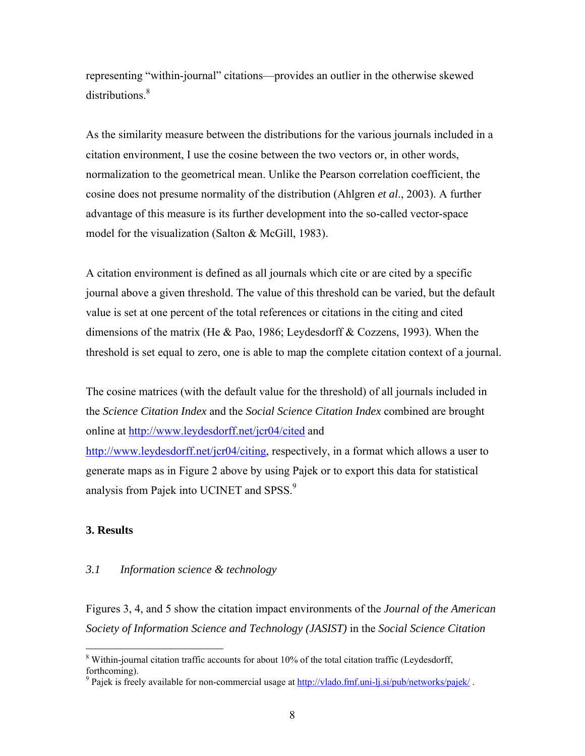representing "within-journal" citations—provides an outlier in the otherwise skewed distributions.<sup>[8](#page-7-0)</sup>

As the similarity measure between the distributions for the various journals included in a citation environment, I use the cosine between the two vectors or, in other words, normalization to the geometrical mean. Unlike the Pearson correlation coefficient, the cosine does not presume normality of the distribution (Ahlgren *et al*., 2003). A further advantage of this measure is its further development into the so-called vector-space model for the visualization (Salton & McGill, 1983).

A citation environment is defined as all journals which cite or are cited by a specific journal above a given threshold. The value of this threshold can be varied, but the default value is set at one percent of the total references or citations in the citing and cited dimensions of the matrix (He & Pao, 1986; Leydesdorff & Cozzens, 1993). When the threshold is set equal to zero, one is able to map the complete citation context of a journal.

The cosine matrices (with the default value for the threshold) of all journals included in the *Science Citation Index* and the *Social Science Citation Index* combined are brought online at <http://www.leydesdorff.net/jcr04/cited> and

[http://www.leydesdorff.net/jcr04/citing,](http://www.leydesdorff.net/jcr04/citing) respectively, in a format which allows a user to generate maps as in Figure 2 above by using Pajek or to export this data for statistical analysis from Pajek into UCINET and SPSS.<sup>[9](#page-7-1)</sup>

## **3. Results**

 $\overline{a}$ 

## *3.1 Information science & technology*

Figures 3, 4, and 5 show the citation impact environments of the *Journal of the American Society of Information Science and Technology (JASIST)* in the *Social Science Citation* 

<span id="page-7-0"></span> $8$  Within-journal citation traffic accounts for about 10% of the total citation traffic (Leydesdorff, forthcoming).

<span id="page-7-1"></span><sup>&</sup>lt;sup>9</sup> Pajek is freely available for non-commercial usage at<http://vlado.fmf.uni-lj.si/pub/networks/pajek/>.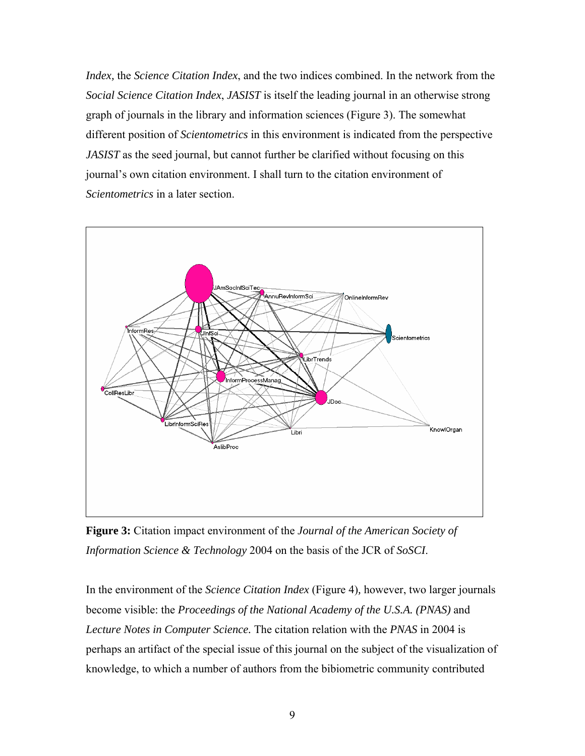*Index,* the *Science Citation Index*, and the two indices combined. In the network from the *Social Science Citation Index*, *JASIST* is itself the leading journal in an otherwise strong graph of journals in the library and information sciences (Figure 3). The somewhat different position of *Scientometrics* in this environment is indicated from the perspective *JASIST* as the seed journal, but cannot further be clarified without focusing on this journal's own citation environment. I shall turn to the citation environment of *Scientometrics* in a later section.



**Figure 3:** Citation impact environment of the *Journal of the American Society of Information Science & Technology* 2004 on the basis of the JCR of *SoSCI*.

In the environment of the *Science Citation Index* (Figure 4)*,* however, two larger journals become visible: the *Proceedings of the National Academy of the U.S.A. (PNAS)* and *Lecture Notes in Computer Science.* The citation relation with the *PNAS* in 2004 is perhaps an artifact of the special issue of this journal on the subject of the visualization of knowledge, to which a number of authors from the bibiometric community contributed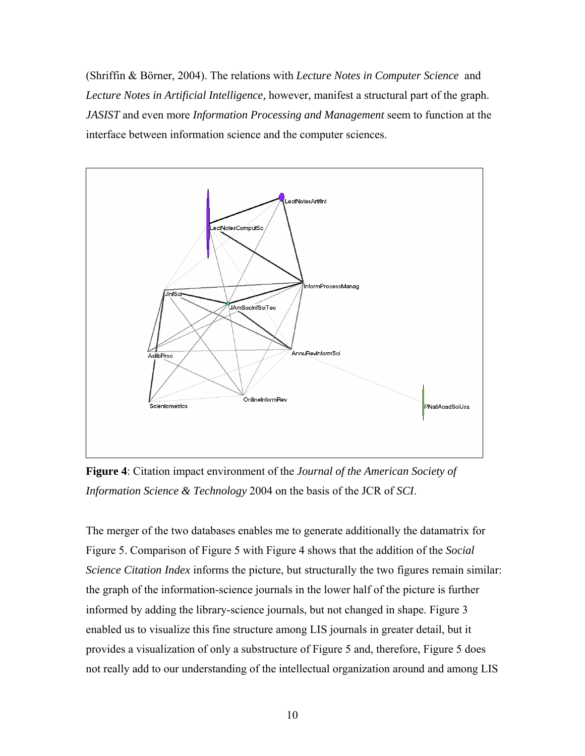(Shriffin & Börner, 2004). The relations with *Lecture Notes in Computer Science* and *Lecture Notes in Artificial Intelligence,* however, manifest a structural part of the graph. *JASIST* and even more *Information Processing and Management* seem to function at the interface between information science and the computer sciences.



**Figure 4**: Citation impact environment of the *Journal of the American Society of Information Science & Technology* 2004 on the basis of the JCR of *SCI*.

The merger of the two databases enables me to generate additionally the datamatrix for Figure 5. Comparison of Figure 5 with Figure 4 shows that the addition of the *Social Science Citation Index* informs the picture, but structurally the two figures remain similar: the graph of the information-science journals in the lower half of the picture is further informed by adding the library-science journals, but not changed in shape. Figure 3 enabled us to visualize this fine structure among LIS journals in greater detail, but it provides a visualization of only a substructure of Figure 5 and, therefore, Figure 5 does not really add to our understanding of the intellectual organization around and among LIS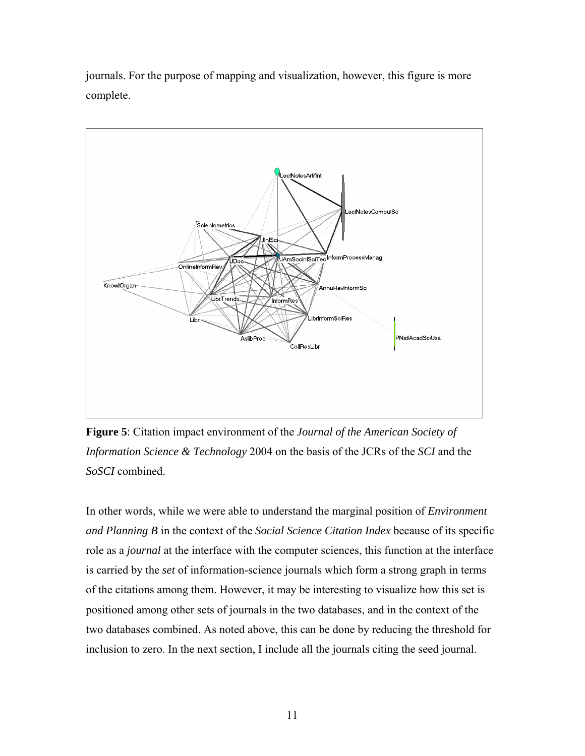journals. For the purpose of mapping and visualization, however, this figure is more complete.



**Figure 5**: Citation impact environment of the *Journal of the American Society of Information Science & Technology* 2004 on the basis of the JCRs of the *SCI* and the *SoSCI* combined.

In other words, while we were able to understand the marginal position of *Environment and Planning B* in the context of the *Social Science Citation Index* because of its specific role as a *journal* at the interface with the computer sciences, this function at the interface is carried by the *set* of information-science journals which form a strong graph in terms of the citations among them. However, it may be interesting to visualize how this set is positioned among other sets of journals in the two databases, and in the context of the two databases combined. As noted above, this can be done by reducing the threshold for inclusion to zero. In the next section, I include all the journals citing the seed journal.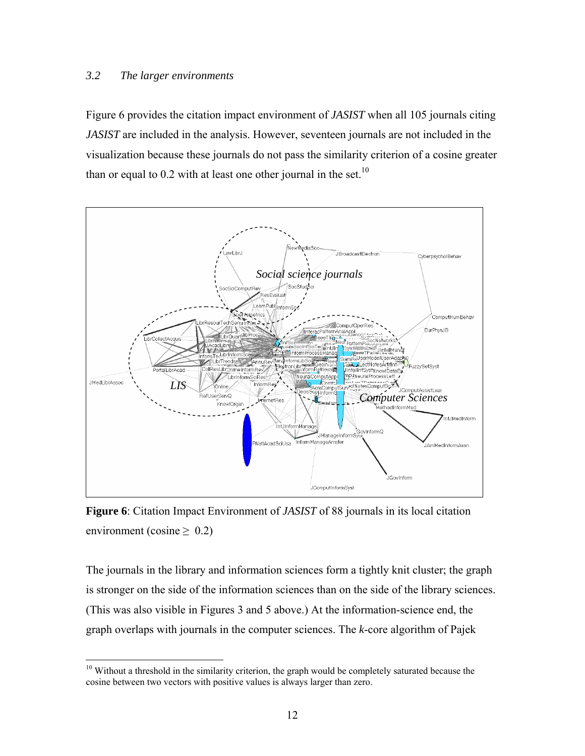## *3.2 The larger environments*

 $\overline{a}$ 

Figure 6 provides the citation impact environment of *JASIST* when all 105 journals citing *JASIST* are included in the analysis. However, seventeen journals are not included in the visualization because these journals do not pass the similarity criterion of a cosine greater than or equal to  $0.2$  with at least one other journal in the set.<sup>10</sup>



**Figure 6**: Citation Impact Environment of *JASIST* of 88 journals in its local citation environment (cosine  $\geq 0.2$ )

The journals in the library and information sciences form a tightly knit cluster; the graph is stronger on the side of the information sciences than on the side of the library sciences. (This was also visible in Figures 3 and 5 above.) At the information-science end, the graph overlaps with journals in the computer sciences. The *k*-core algorithm of Pajek

<span id="page-11-0"></span><sup>&</sup>lt;sup>10</sup> Without a threshold in the similarity criterion, the graph would be completely saturated because the cosine between two vectors with positive values is always larger than zero.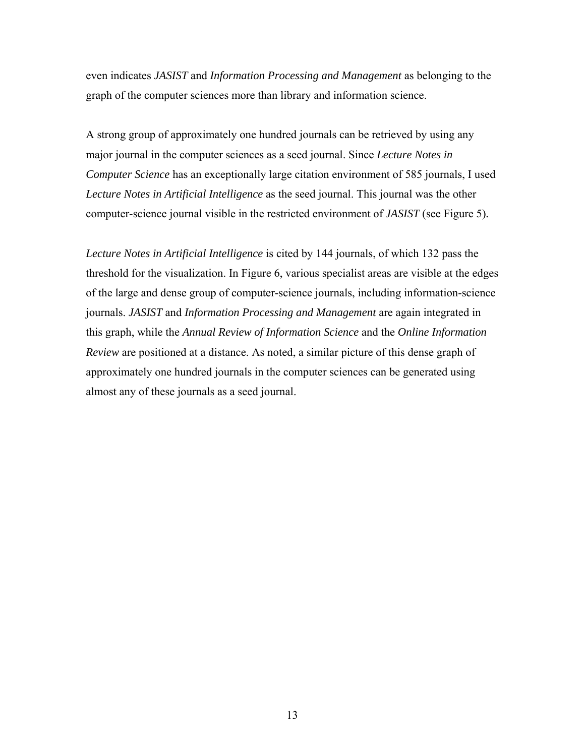even indicates *JASIST* and *Information Processing and Management* as belonging to the graph of the computer sciences more than library and information science.

A strong group of approximately one hundred journals can be retrieved by using any major journal in the computer sciences as a seed journal. Since *Lecture Notes in Computer Science* has an exceptionally large citation environment of 585 journals, I used *Lecture Notes in Artificial Intelligence* as the seed journal. This journal was the other computer-science journal visible in the restricted environment of *JASIST* (see Figure 5)*.*

*Lecture Notes in Artificial Intelligence* is cited by 144 journals, of which 132 pass the threshold for the visualization. In Figure 6, various specialist areas are visible at the edges of the large and dense group of computer-science journals, including information-science journals. *JASIST* and *Information Processing and Management* are again integrated in this graph, while the *Annual Review of Information Science* and the *Online Information Review* are positioned at a distance. As noted, a similar picture of this dense graph of approximately one hundred journals in the computer sciences can be generated using almost any of these journals as a seed journal.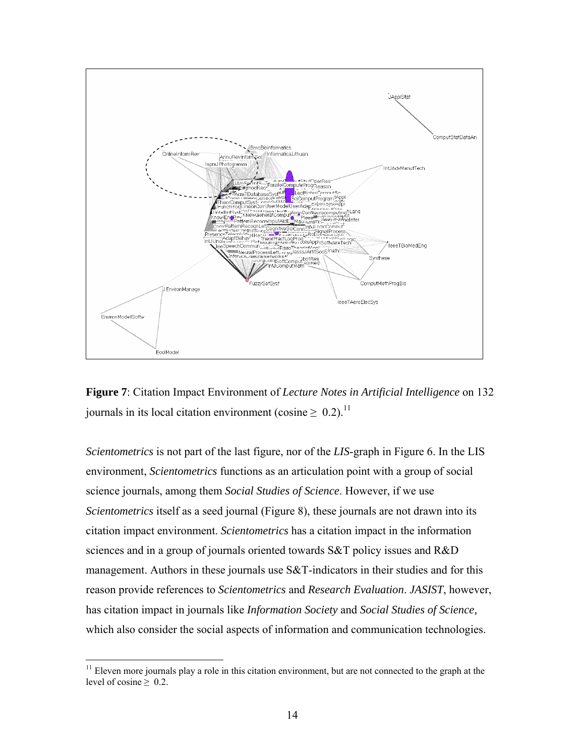

**Figure 7**: Citation Impact Environment of *Lecture Notes in Artificial Intelligence* on 132 journals in its local citation environment (cosine  $\geq 0.2$ ).<sup>[11](#page-13-0)</sup>

*Scientometrics* is not part of the last figure, nor of the *LIS*-graph in Figure 6. In the LIS environment, *Scientometrics* functions as an articulation point with a group of social science journals, among them *Social Studies of Science*. However, if we use *Scientometrics* itself as a seed journal (Figure 8), these journals are not drawn into its citation impact environment. *Scientometrics* has a citation impact in the information sciences and in a group of journals oriented towards S&T policy issues and R&D management. Authors in these journals use S&T-indicators in their studies and for this reason provide references to *Scientometrics* and *Research Evaluation*. *JASIST*, however, has citation impact in journals like *Information Society* and *Social Studies of Science,* which also consider the social aspects of information and communication technologies.

 $\overline{a}$ 

<span id="page-13-0"></span><sup>&</sup>lt;sup>11</sup> Eleven more journals play a role in this citation environment, but are not connected to the graph at the level of cosine  $\geq 0.2$ .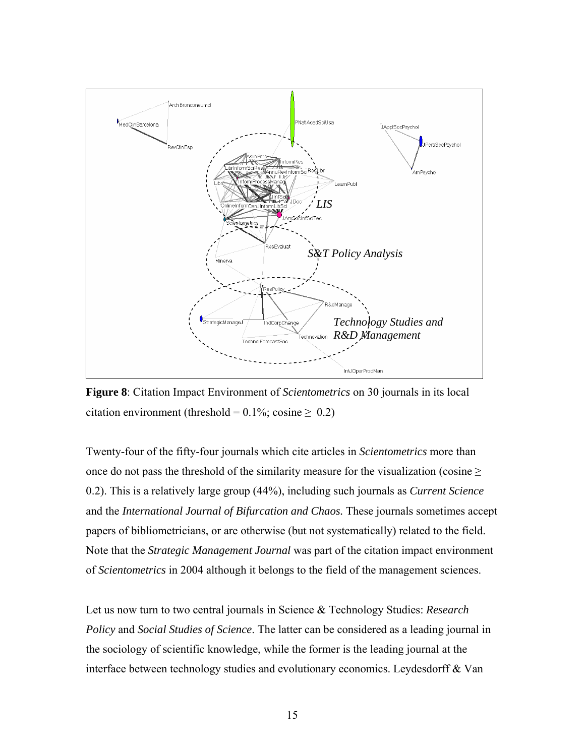

**Figure 8**: Citation Impact Environment of *Scientometrics* on 30 journals in its local citation environment (threshold =  $0.1\%$ ; cosine  $\geq 0.2$ )

Twenty-four of the fifty-four journals which cite articles in *Scientometrics* more than once do not pass the threshold of the similarity measure for the visualization (cosine  $\geq$ 0.2). This is a relatively large group (44%), including such journals as *Current Science* and the *International Journal of Bifurcation and Chaos.* These journals sometimes accept papers of bibliometricians, or are otherwise (but not systematically) related to the field. Note that the *Strategic Management Journal* was part of the citation impact environment of *Scientometrics* in 2004 although it belongs to the field of the management sciences.

Let us now turn to two central journals in Science & Technology Studies: *Research Policy* and *Social Studies of Science*. The latter can be considered as a leading journal in the sociology of scientific knowledge, while the former is the leading journal at the interface between technology studies and evolutionary economics. Leydesdorff & Van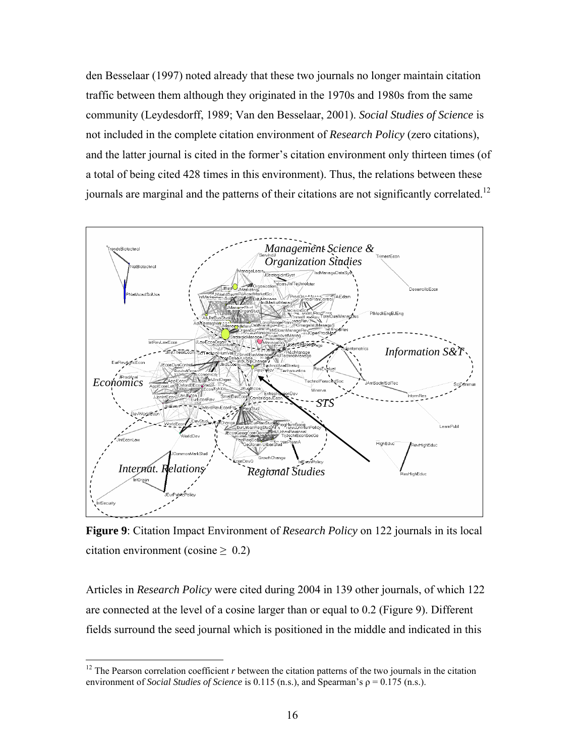den Besselaar (1997) noted already that these two journals no longer maintain citation traffic between them although they originated in the 1970s and 1980s from the same community (Leydesdorff, 1989; Van den Besselaar, 2001). *Social Studies of Science* is not included in the complete citation environment of *Research Policy* (zero citations), and the latter journal is cited in the former's citation environment only thirteen times (of a total of being cited 428 times in this environment). Thus, the relations between these journals are marginal and the patterns of their citations are not significantly correlated.<sup>12</sup>



**Figure 9**: Citation Impact Environment of *Research Policy* on 122 journals in its local citation environment (cosine  $\geq 0.2$ )

Articles in *Research Policy* were cited during 2004 in 139 other journals, of which 122 are connected at the level of a cosine larger than or equal to 0.2 (Figure 9). Different fields surround the seed journal which is positioned in the middle and indicated in this

<span id="page-15-0"></span><sup>&</sup>lt;sup>12</sup> The Pearson correlation coefficient  $r$  between the citation patterns of the two journals in the citation environment of *Social Studies of Science* is 0.115 (n.s.), and Spearman's ρ = 0.175 (n.s.).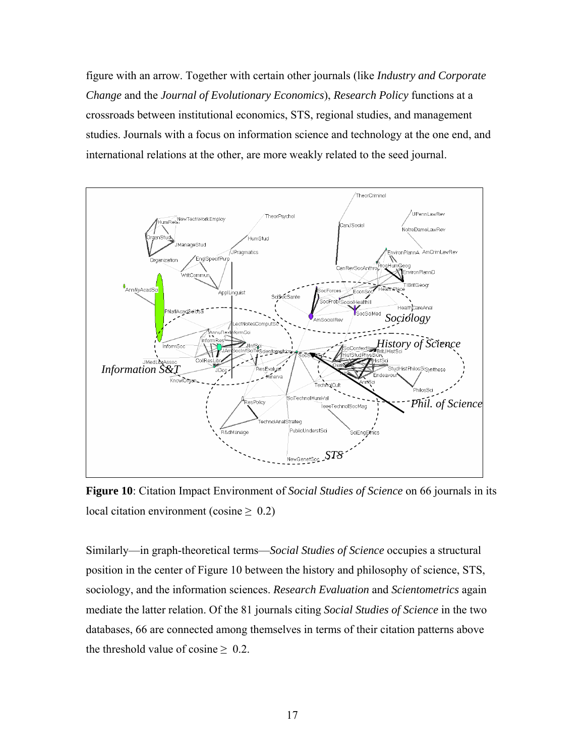figure with an arrow. Together with certain other journals (like *Industry and Corporate Change* and the *Journal of Evolutionary Economics*), *Research Policy* functions at a crossroads between institutional economics, STS, regional studies, and management studies. Journals with a focus on information science and technology at the one end, and international relations at the other, are more weakly related to the seed journal.



**Figure 10**: Citation Impact Environment of *Social Studies of Science* on 66 journals in its local citation environment (cosine  $\geq 0.2$ )

Similarly—in graph-theoretical terms—*Social Studies of Science* occupies a structural position in the center of Figure 10 between the history and philosophy of science, STS, sociology, and the information sciences. *Research Evaluation* and *Scientometrics* again mediate the latter relation. Of the 81 journals citing *Social Studies of Science* in the two databases, 66 are connected among themselves in terms of their citation patterns above the threshold value of cosine  $\geq 0.2$ .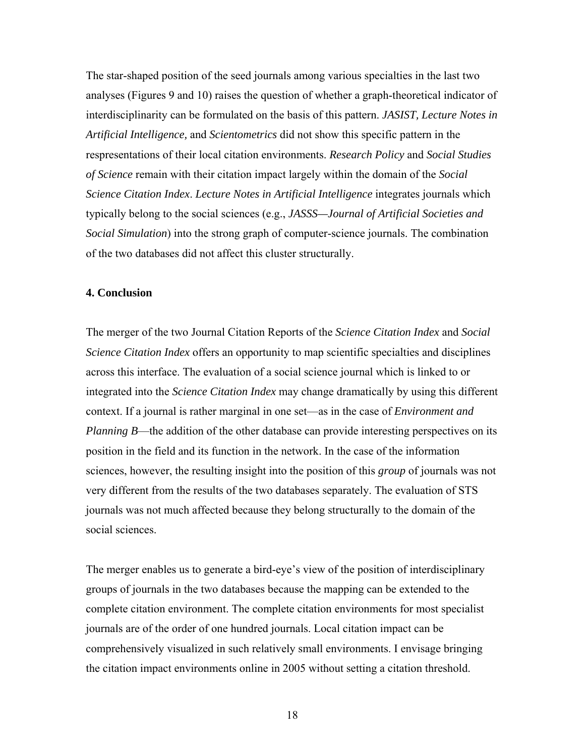The star-shaped position of the seed journals among various specialties in the last two analyses (Figures 9 and 10) raises the question of whether a graph-theoretical indicator of interdisciplinarity can be formulated on the basis of this pattern. *JASIST, Lecture Notes in Artificial Intelligence,* and *Scientometrics* did not show this specific pattern in the respresentations of their local citation environments. *Research Policy* and *Social Studies of Science* remain with their citation impact largely within the domain of the *Social Science Citation Index*. *Lecture Notes in Artificial Intelligence* integrates journals which typically belong to the social sciences (e.g., *JASSS—Journal of Artificial Societies and Social Simulation*) into the strong graph of computer-science journals. The combination of the two databases did not affect this cluster structurally.

#### **4. Conclusion**

The merger of the two Journal Citation Reports of the *Science Citation Index* and *Social Science Citation Index* offers an opportunity to map scientific specialties and disciplines across this interface. The evaluation of a social science journal which is linked to or integrated into the *Science Citation Index* may change dramatically by using this different context. If a journal is rather marginal in one set—as in the case of *Environment and Planning B*—the addition of the other database can provide interesting perspectives on its position in the field and its function in the network. In the case of the information sciences, however, the resulting insight into the position of this *group* of journals was not very different from the results of the two databases separately. The evaluation of STS journals was not much affected because they belong structurally to the domain of the social sciences.

The merger enables us to generate a bird-eye's view of the position of interdisciplinary groups of journals in the two databases because the mapping can be extended to the complete citation environment. The complete citation environments for most specialist journals are of the order of one hundred journals. Local citation impact can be comprehensively visualized in such relatively small environments. I envisage bringing the citation impact environments online in 2005 without setting a citation threshold.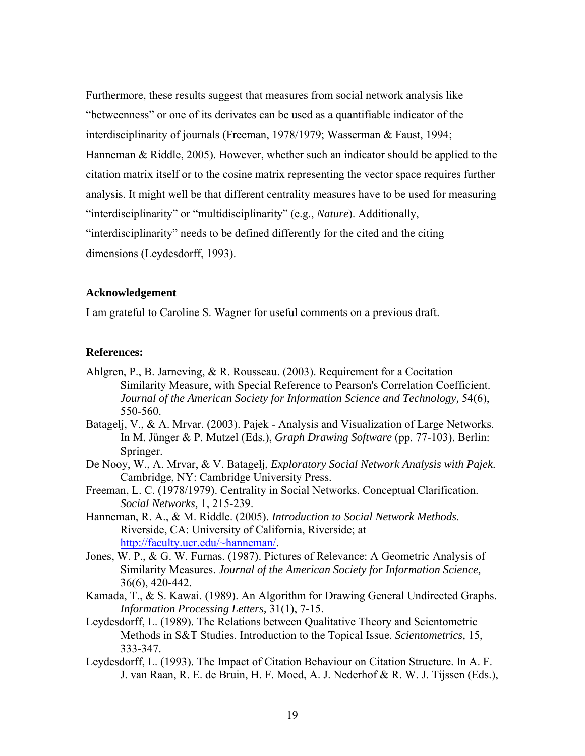Furthermore, these results suggest that measures from social network analysis like "betweenness" or one of its derivates can be used as a quantifiable indicator of the interdisciplinarity of journals (Freeman, 1978/1979; Wasserman & Faust, 1994; Hanneman & Riddle, 2005). However, whether such an indicator should be applied to the citation matrix itself or to the cosine matrix representing the vector space requires further analysis. It might well be that different centrality measures have to be used for measuring "interdisciplinarity" or "multidisciplinarity" (e.g., *Nature*). Additionally, "interdisciplinarity" needs to be defined differently for the cited and the citing dimensions (Leydesdorff, 1993).

## **Acknowledgement**

I am grateful to Caroline S. Wagner for useful comments on a previous draft.

#### **References:**

- Ahlgren, P., B. Jarneving, & R. Rousseau. (2003). Requirement for a Cocitation Similarity Measure, with Special Reference to Pearson's Correlation Coefficient. *Journal of the American Society for Information Science and Technology,* 54(6), 550-560.
- Batagelj, V., & A. Mrvar. (2003). Pajek Analysis and Visualization of Large Networks. In M. Jünger & P. Mutzel (Eds.), *Graph Drawing Software* (pp. 77-103). Berlin: Springer.
- De Nooy, W., A. Mrvar, & V. Batagelj, *Exploratory Social Network Analysis with Pajek*. Cambridge, NY: Cambridge University Press.
- Freeman, L. C. (1978/1979). Centrality in Social Networks. Conceptual Clarification. *Social Networks,* 1, 215-239.
- Hanneman, R. A., & M. Riddle. (2005). *Introduction to Social Network Methods*. Riverside, CA: University of California, Riverside; at <http://faculty.ucr.edu/~hanneman/>.
- Jones, W. P., & G. W. Furnas. (1987). Pictures of Relevance: A Geometric Analysis of Similarity Measures. *Journal of the American Society for Information Science,* 36(6), 420-442.
- Kamada, T., & S. Kawai. (1989). An Algorithm for Drawing General Undirected Graphs. *Information Processing Letters,* 31(1), 7-15.
- Leydesdorff, L. (1989). The Relations between Qualitative Theory and Scientometric Methods in S&T Studies. Introduction to the Topical Issue. *Scientometrics,* 15, 333-347.
- Leydesdorff, L. (1993). The Impact of Citation Behaviour on Citation Structure. In A. F. J. van Raan, R. E. de Bruin, H. F. Moed, A. J. Nederhof & R. W. J. Tijssen (Eds.),